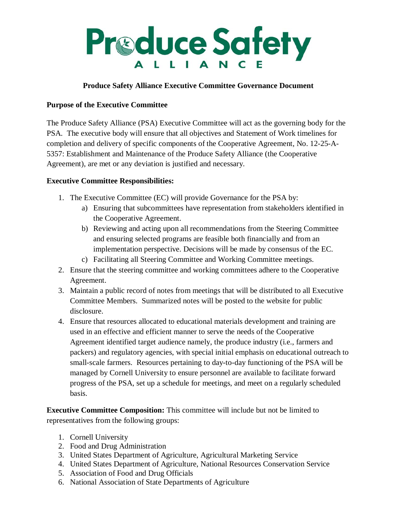

## **Produce Safety Alliance Executive Committee Governance Document**

## **Purpose of the Executive Committee**

The Produce Safety Alliance (PSA) Executive Committee will act as the governing body for the PSA. The executive body will ensure that all objectives and Statement of Work timelines for completion and delivery of specific components of the Cooperative Agreement, No. 12-25-A-5357: Establishment and Maintenance of the Produce Safety Alliance (the Cooperative Agreement), are met or any deviation is justified and necessary.

## **Executive Committee Responsibilities:**

- 1. The Executive Committee (EC) will provide Governance for the PSA by:
	- a) Ensuring that subcommittees have representation from stakeholders identified in the Cooperative Agreement.
	- b) Reviewing and acting upon all recommendations from the Steering Committee and ensuring selected programs are feasible both financially and from an implementation perspective. Decisions will be made by consensus of the EC.
	- c) Facilitating all Steering Committee and Working Committee meetings.
- 2. Ensure that the steering committee and working committees adhere to the Cooperative Agreement.
- 3. Maintain a public record of notes from meetings that will be distributed to all Executive Committee Members. Summarized notes will be posted to the website for public disclosure.
- 4. Ensure that resources allocated to educational materials development and training are used in an effective and efficient manner to serve the needs of the Cooperative Agreement identified target audience namely, the produce industry (i.e., farmers and packers) and regulatory agencies, with special initial emphasis on educational outreach to small-scale farmers. Resources pertaining to day-to-day functioning of the PSA will be managed by Cornell University to ensure personnel are available to facilitate forward progress of the PSA, set up a schedule for meetings, and meet on a regularly scheduled basis.

**Executive Committee Composition:** This committee will include but not be limited to representatives from the following groups:

- 1. Cornell University
- 2. Food and Drug Administration
- 3. United States Department of Agriculture, Agricultural Marketing Service
- 4. United States Department of Agriculture, National Resources Conservation Service
- 5. Association of Food and Drug Officials
- 6. National Association of State Departments of Agriculture